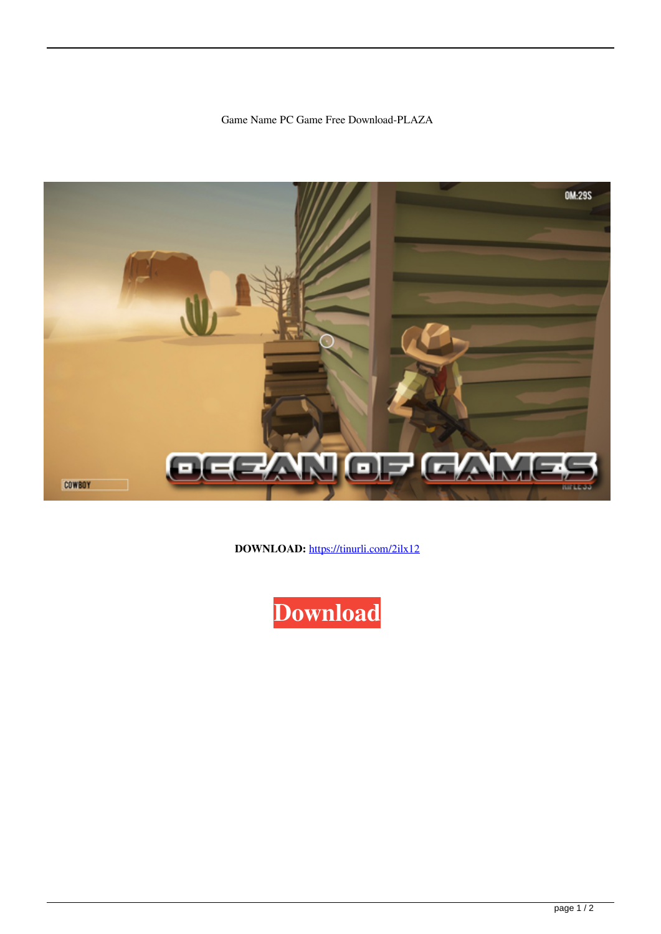Game Name PC Game Free Download-PLAZA



**DOWNLOAD:** <https://tinurli.com/2ilx12>